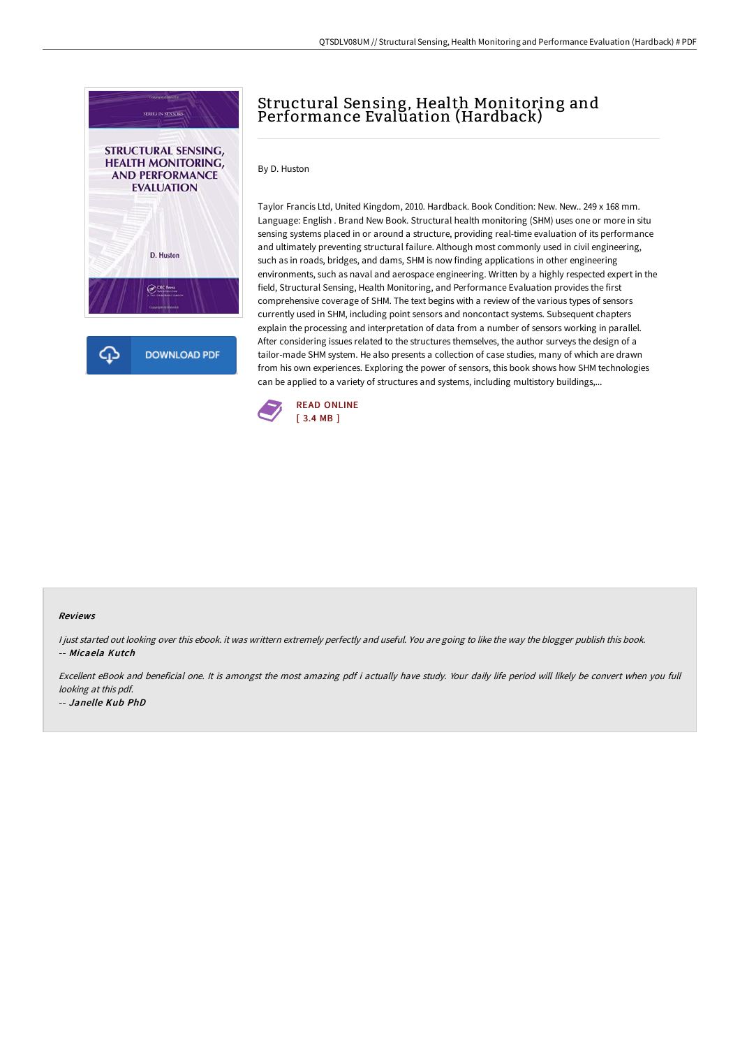

# Structural Sensing, Health Monitoring and Performance Evaluation (Hardback)

By D. Huston

Taylor Francis Ltd, United Kingdom, 2010. Hardback. Book Condition: New. New.. 249 x 168 mm. Language: English . Brand New Book. Structural health monitoring (SHM) uses one or more in situ sensing systems placed in or around a structure, providing real-time evaluation of its performance and ultimately preventing structural failure. Although most commonly used in civil engineering, such as in roads, bridges, and dams, SHM is now finding applications in other engineering environments, such as naval and aerospace engineering. Written by a highly respected expert in the field, Structural Sensing, Health Monitoring, and Performance Evaluation provides the first comprehensive coverage of SHM. The text begins with a review of the various types of sensors currently used in SHM, including point sensors and noncontact systems. Subsequent chapters explain the processing and interpretation of data from a number of sensors working in parallel. After considering issues related to the structures themselves, the author surveys the design of a tailor-made SHM system. He also presents a collection of case studies, many of which are drawn from his own experiences. Exploring the power of sensors, this book shows how SHM technologies can be applied to a variety of structures and systems, including multistory buildings,...



#### Reviews

I just started out looking over this ebook. it was writtern extremely perfectly and useful. You are going to like the way the blogger publish this book. -- Micaela Kutch

Excellent eBook and beneficial one. It is amongst the most amazing pdf i actually have study. Your daily life period will likely be convert when you full looking at this pdf.

-- Janelle Kub PhD